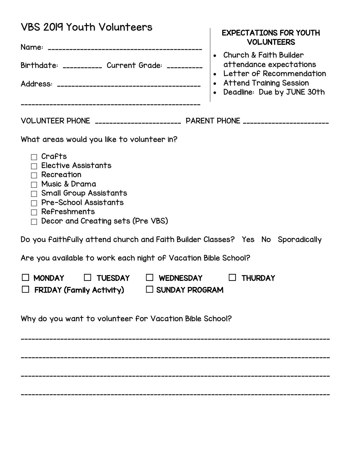| <b>VBS 2019 Youth Volunteers</b>                                                                                                                                                                                                                             | <b>EXPECTATIONS FOR YOUTH</b><br><b>VOLUNTEERS</b>                                                                                              |  |  |  |  |
|--------------------------------------------------------------------------------------------------------------------------------------------------------------------------------------------------------------------------------------------------------------|-------------------------------------------------------------------------------------------------------------------------------------------------|--|--|--|--|
| Birthdate: __________ Current Grade: _________                                                                                                                                                                                                               | Church & Faith Builder<br>attendance expectations<br>• Letter of Recommendation<br><b>Attend Training Session</b><br>Deadline: Due by JUNE 30th |  |  |  |  |
| VOLUNTEER PHONE _______________________ PARENT PHONE ______________________                                                                                                                                                                                  |                                                                                                                                                 |  |  |  |  |
| What areas would you like to volunteer in?<br>$\sqcap$ Crafts<br>Elective Assistants<br>$\sqcap$ Recreation<br>Music & Drama<br>$\Box$<br>$\Box$ Small Group Assistants<br>$\Box$ Pre-School Assistants<br>Refreshments<br>Decor and Creating sets (Pre VBS) |                                                                                                                                                 |  |  |  |  |
| Do you faithfully attend church and Faith Builder Classes? Yes No Sporadically                                                                                                                                                                               |                                                                                                                                                 |  |  |  |  |
| Are you available to work each night of Vacation Bible School?                                                                                                                                                                                               |                                                                                                                                                 |  |  |  |  |
| $\Box$ TUESDAY $\Box$ WEDNESDAY<br>$\Box$ MONDAY<br><b>FRIDAY (Family Activity)</b><br>$\Box$ SUNDAY PROGRAM<br>$\Box$                                                                                                                                       | <b>SAMILY THURDAY</b>                                                                                                                           |  |  |  |  |
| Why do you want to volunteer for Vacation Bible School?                                                                                                                                                                                                      |                                                                                                                                                 |  |  |  |  |
|                                                                                                                                                                                                                                                              |                                                                                                                                                 |  |  |  |  |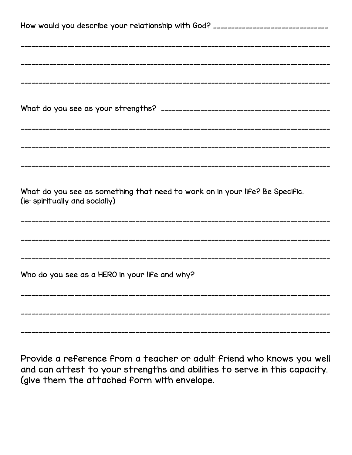| How would you describe your relationship with God? _____________________________                               |  |  |
|----------------------------------------------------------------------------------------------------------------|--|--|
|                                                                                                                |  |  |
|                                                                                                                |  |  |
|                                                                                                                |  |  |
|                                                                                                                |  |  |
|                                                                                                                |  |  |
| What do you see as something that need to work on in your life? Be Specific.<br>(ie: spiritually and socially) |  |  |
|                                                                                                                |  |  |
|                                                                                                                |  |  |
| Who do you see as a HERO in your life and why?                                                                 |  |  |
|                                                                                                                |  |  |
|                                                                                                                |  |  |

Provide a reference from a teacher or adult friend who knows you well and can attest to your strengths and abilities to serve in this capacity. (give them the attached form with envelope.